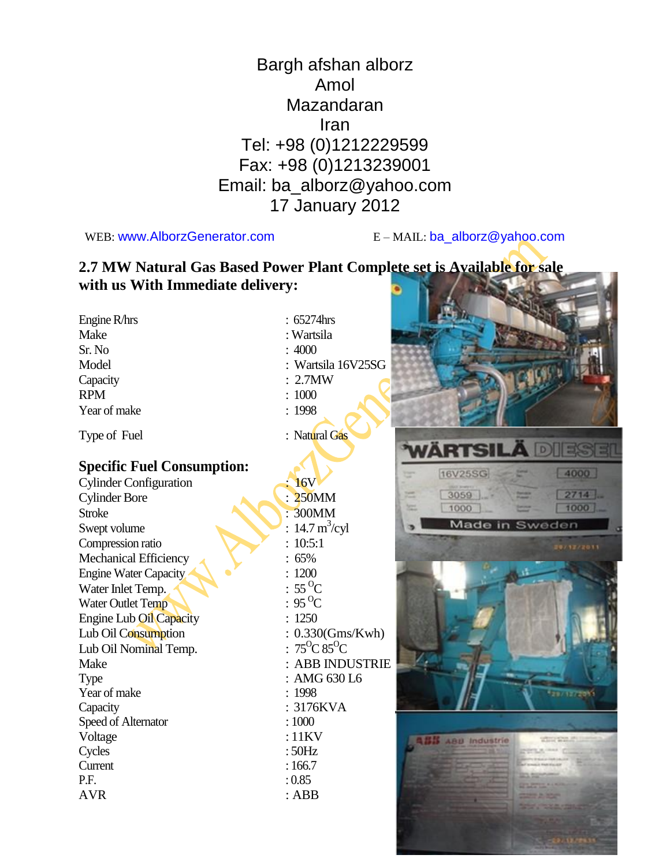## Bargh afshan alborz Amol Mazandaran Iran Tel: +98 (0)1212229599 Fax: +98 (0)1213239001 Email: ba\_alborz@yahoo.com 17 January 2012

WEB: www.AlborzGenerator.com E-MAIL: ba\_alborz@yahoo.com

Speed of Alternator : 1000 Voltage : 11KV Cycles : 50Hz Current : 166.7 P.F.  $: 0.85$ AVR : ABB

#### **2.7 MW Natural Gas Based Power Plant Complete set is Available for sale with us With Immediate delivery:**

| Engine R/hrs                      | :65274hrs                        |                         |
|-----------------------------------|----------------------------------|-------------------------|
| Make                              | : Wartsila                       |                         |
| Sr. No                            | :4000                            |                         |
| Model                             | Wartsila 16V25SG                 |                         |
| Capacity                          | $2.7$ MW                         |                         |
| <b>RPM</b>                        | 1000                             |                         |
| Year of make                      | : 1998                           |                         |
| Type of Fuel                      | : Natural Gas                    |                         |
| <b>Specific Fuel Consumption:</b> |                                  |                         |
| <b>Cylinder Configuration</b>     | <b>16V</b>                       | 16V2                    |
| <b>Cylinder Bore</b>              | <b>250MM</b>                     | 30 <sub>5</sub>         |
| <b>Stroke</b>                     | 300MM                            | 100                     |
| Swept volume                      | $14.7 \text{ m}^3\text{/cyl}$    | $\overline{\mathsf{M}}$ |
| Compression ratio                 | 10:5:1                           |                         |
| Mechanical Efficiency             | 65%                              |                         |
| <b>Engine Water Capacity</b>      | 1200                             |                         |
| Water Inlet Temp.                 | $55^{\circ}$ C                   |                         |
| Water Outlet Temp                 | $: 95^{\circ}C$                  |                         |
| Engine Lub Oil Capacity           | 1250                             |                         |
| Lub Oil Consumption               | $0.330$ (Gms/Kwh)                |                         |
| Lub Oil Nominal Temp.             | $75^{\circ}$ C 85 <sup>o</sup> C |                         |
| Make                              | <b>ABB INDUSTRIE</b>             |                         |
| Type                              | AMG 630 L6                       |                         |
| Year of make                      | 1998                             |                         |
| Capacity                          | 3176KVA                          |                         |

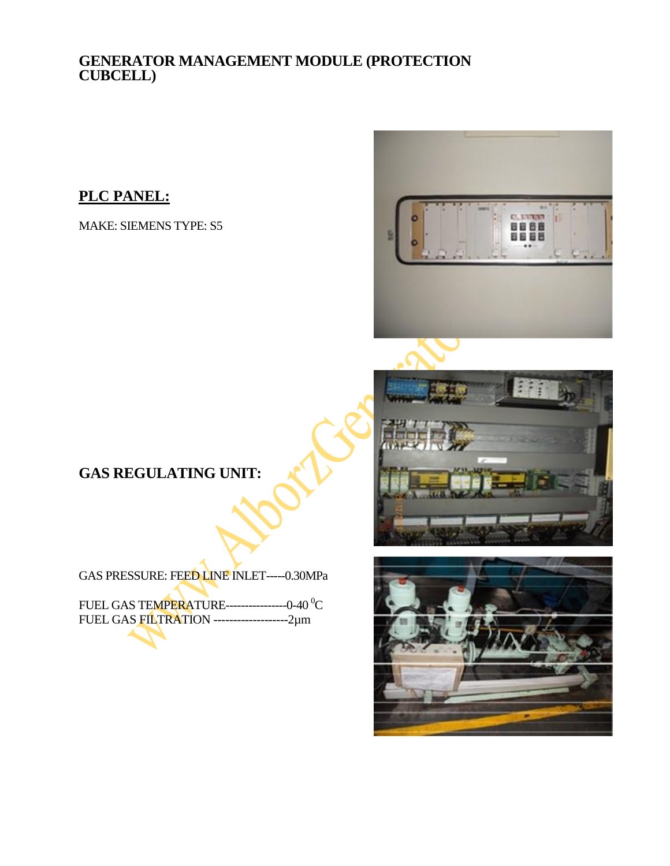#### **GENERATOR MANAGEMENT MODULE (PROTECTION CUBCELL)**

#### **PLC PANEL:**

MAKE: SIEMENS TYPE: S5



**GAS REGULATING UNIT:**

GAS PRESSURE: FEED LINE INLET-----0.30MPa

FUEL GAS TEMPERATURE------------------0-40 <sup>0</sup>C FUEL GAS FILTRATION -------------------2µm

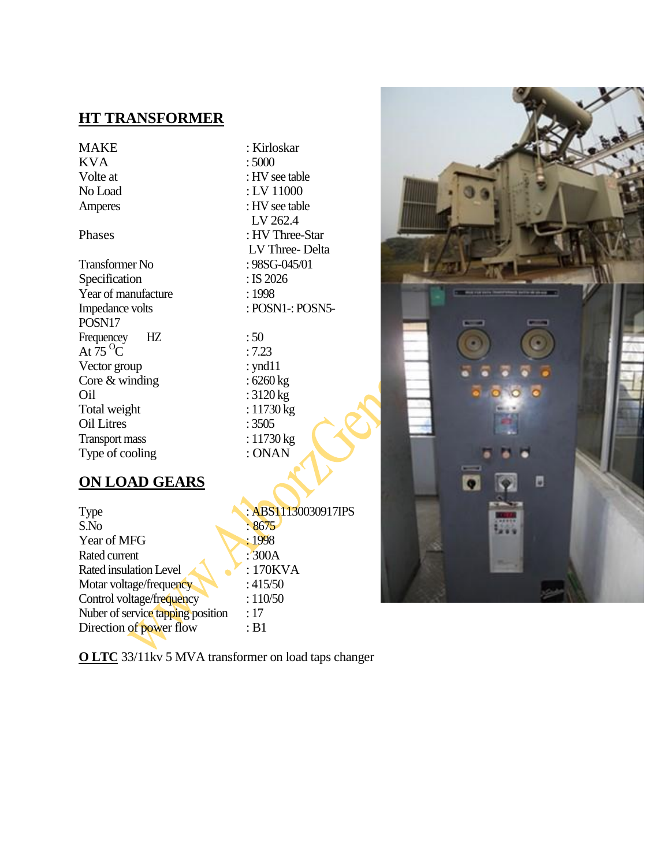#### **HT TRANSFORMER**

# $KVA$

Transformer No : 98SG-045/01 Specification : IS 2026 Year of manufacture : 1998<br>Impedance volts : POSN POSN17 Frequencey HZ : 50 At  $75 \, \text{°C}$  : 7.23 Vector group : ynd11<br>Core & winding : 6260 kg Core  $&$  winding Oil : 3120 kg<br>Total weight : 11730 kg Total weight Oil Litres : 3505<br>Transport mass : 11730 kg Transport mass : 11730 kg<br>Type of cooling : ONAN Type of cooling

MAKE : Kirloskar<br>KVA : 5000 Volte at : HV see table No Load : LV 11000 Amperes : HV see table LV 262.4 Phases : HV Three-Star LV Three- Delta : POSN1-: POSN5-

#### **ON LOAD GEARS**

| Type                              | : ABS11130030917IPS |
|-----------------------------------|---------------------|
| S.No                              | :8675               |
| Year of MFG                       | :1998               |
| Rated current                     | :300A               |
| Rated insulation Level            | : 170KVA            |
| Motar voltage/frequency           | :415/50             |
| Control voltage/frequency         | :110/50             |
| Nuber of service tapping position | :17                 |
| Direction of power flow           | :B1                 |

**O LTC** 33/11kv 5 MVA transformer on load taps changer

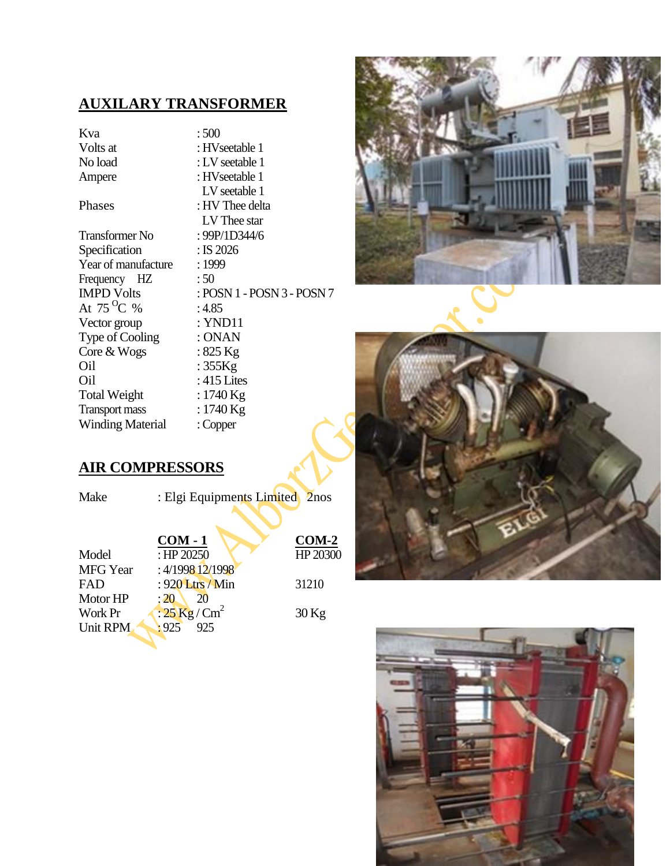## **AUXILARY TRANSFORMER**

Kva : 500 Volts at : HVseetable 1 No load : LV seetable 1 Ampere : HVseetable 1 Transformer No : 99P/1D344/6 Specification : IS 2026 Year of manufacture : 1999 Frequency HZ : 50<br>IMPD Volts : PO At  $75^{\circ}C_{\%}$ Vector group : YND11 Type of Cooling : ONAN  $Core &Wogs$  : 825 Kg Oil : 355Kg

 LV seetable 1 Phases : HV Thee delta LV Thee star : POSN 1 - POSN 3 - POSN 7<br>: 4.85 Oil : 415 Lites<br>Total Weight : 1740 Kg Total Weight : 1740 Kg<br>Transport mass : 1740 Kg Transport mass : 1740 K<br>Winding Material : Copper

#### **AIR COMPRESSORS**

Winding Material

| Make            | : Elgi Equipments Limited 2nos |          |
|-----------------|--------------------------------|----------|
|                 | $COM - 1$                      | $COM-2$  |
| Model           | : HP $20250$                   | HP 20300 |
| <b>MFG</b> Year | : 4/1998 12/1998               |          |
| <b>FAD</b>      | : 920 Ltrs / Min               | 31210    |
| Motor HP        | :20<br>20                      |          |
| Work Pr         | $: 25$ Kg/Cm <sup>2</sup>      | $30$ Kg  |
| Unit RPM        | .925<br>925                    |          |
|                 |                                |          |





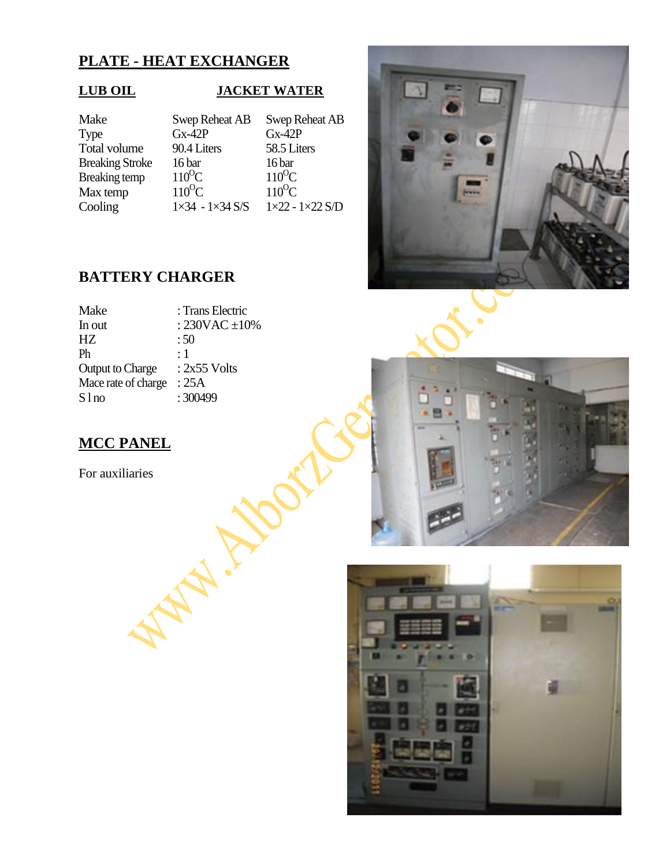#### **PLATE - HEAT EXCHANGER**

#### **LUB OIL JACKET WATER**

| Make                   | <b>Swep Reheat AB</b>           | Swep Reheat AB              |
|------------------------|---------------------------------|-----------------------------|
| Type                   | $Gx-42P$                        | $Gx-42P$                    |
| Total volume           | 90.4 Liters                     | 58.5 Liters                 |
| <b>Breaking Stroke</b> | 16 bar                          | 16 bar                      |
| <b>Breaking temp</b>   | $110^{\circ}$ C                 | $110^{\circ}$ C             |
| Max temp               | $110^{\circ}$ C                 | $110^{\circ}$ C             |
| Cooling                | $1 \times 34 - 1 \times 34$ S/S | $1\times22 - 1\times22$ S/D |

Total volume 90.4 Liters 58.5 Liters<br>Breaking Stroke 16 bar 16 bar Max temp  $110^{\circ}\text{C}$   $110^{\circ}\text{C}$   $110^{\circ}\text{C}$ <br>Cooling  $1\times34 - 1\times34$  S/S  $1\times22 - 1\times22$  S/D

#### **BATTERY CHARGER**

| Make                    | : Trans Electric    |
|-------------------------|---------------------|
| In out                  | : $230VAC \pm 10\%$ |
| НZ                      | :50                 |
| Ph                      | $\cdot$ 1           |
| <b>Output to Charge</b> | $: 2x55$ Volts      |
| Mace rate of charge     | : 25A               |
| S l no                  | :300499             |
|                         |                     |

AN-IN

### **MCC PANEL**

For auxiliaries



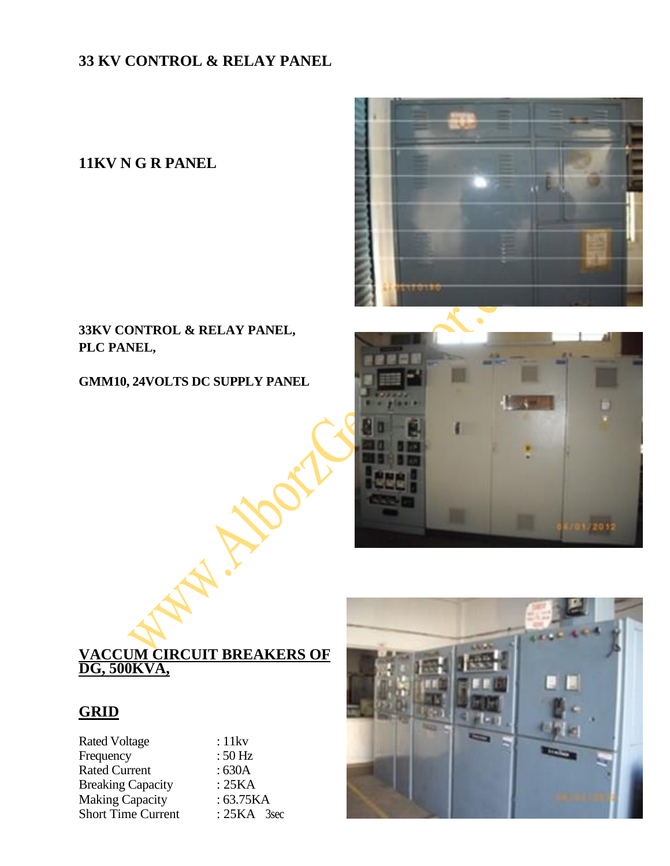## **33 KV CONTROL & RELAY PANEL**

### **11KV N G R PANEL**

#### **33KV CONTROL & RELAY PANEL, PLC PANEL,**

**GMM10, 24VOLTS DC SUPPLY PANEL** 





#### **VACCUM CIRCUIT BREAKERS OF DG, 500KVA,**

#### **GRID**

| <b>Rated Voltage</b>      | :11kv         |
|---------------------------|---------------|
| Frequency                 | $:50$ Hz      |
| <b>Rated Current</b>      | :630A         |
| <b>Breaking Capacity</b>  | :25KA         |
| <b>Making Capacity</b>    | :63.75KA      |
| <b>Short Time Current</b> | $: 25KA$ 3sec |

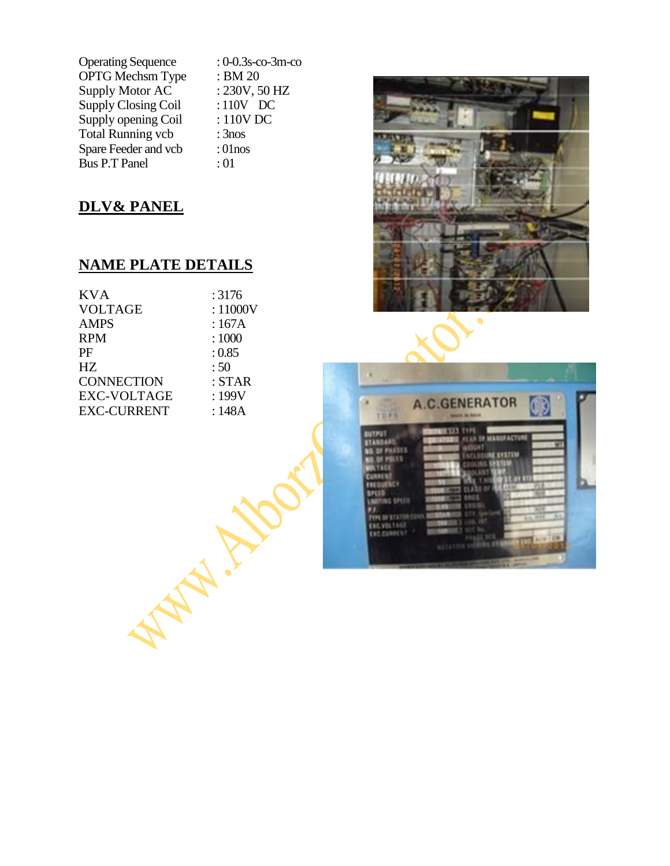Operating Sequence : 0-0.3s-co-3m-co OPTG Mechsm Type : BM 20<br>Supply Motor AC : 230V, 50 HZ Supply Motor  $AC$  : 230V, 50 H<br>Supply Closing Coil : 110V DC Supply Closing Coil Supply opening Coil : 110V DC Total Running vcb : 3nos Spare Feeder and vcb : 01nos Bus P.T Panel : 01

## **DLV& PANEL**

#### **NAME PLATE DETAILS**

| <b>KVA</b>         | : 3176        |
|--------------------|---------------|
| <b>VOLTAGE</b>     | :11000V       |
| <b>AMPS</b>        | :167A         |
| <b>RPM</b>         | :1000         |
| PF                 | : 0.85        |
| HZ                 | :50           |
| <b>CONNECTION</b>  | : <b>STAR</b> |
| <b>EXC-VOLTAGE</b> | :199V         |
| <b>EXC-CURRENT</b> | :148A         |
|                    |               |



| <b>NECTION</b>                   | : 0.85<br>:50<br>: <b>STAR</b> |                                                                                                                                                                                                                                                                                                                                                              |
|----------------------------------|--------------------------------|--------------------------------------------------------------------------------------------------------------------------------------------------------------------------------------------------------------------------------------------------------------------------------------------------------------------------------------------------------------|
| <b>VOLTAGE</b><br><b>CURRENT</b> | : 199V<br>:148A                | <b>A.C.GENERATOR</b><br>TOPS<br><b>March In Assoc</b>                                                                                                                                                                                                                                                                                                        |
|                                  |                                | <b>TEATTA TYPE</b><br><b>BUTPUT</b><br><b>FEAR OF MANUFACTURE</b><br><b>STANDARD</b><br>cat<br><b>OR OF PAASES</b><br><b><i>CLOUDE SYSTEM</i></b><br><b>10.01 PBL11</b><br><b>KILTAGE</b><br><b>CURRENT</b><br>FREQUENCY<br>SPLID<br><b>LIMITING SPLED</b><br>TYPE OF STATOR CO.<br><b>EXCYDULAGE</b><br><b>EXC.CUNNENT</b><br>$-0.432.323$<br>as talms viri |
|                                  |                                |                                                                                                                                                                                                                                                                                                                                                              |